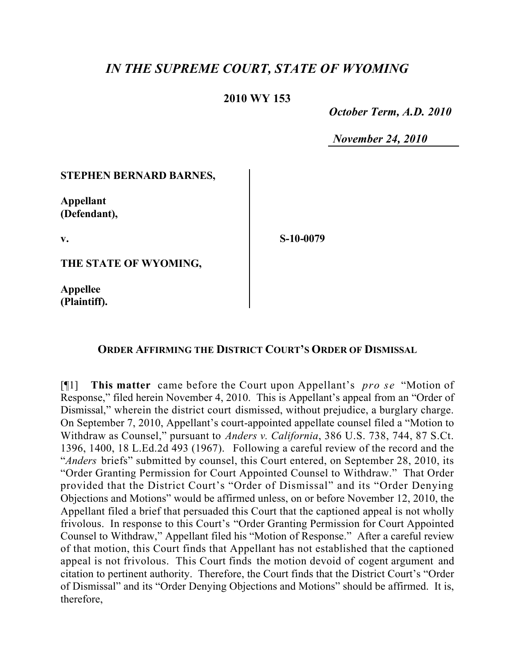## *IN THE SUPREME COURT, STATE OF WYOMING*

## **2010 WY 153**

 *October Term, A.D. 2010*

*November 24, 2010*

## **STEPHEN BERNARD BARNES,**

**Appellant (Defendant),**

**v.**

**S-10-0079**

**THE STATE OF WYOMING,**

**Appellee (Plaintiff).**

## **ORDER AFFIRMING THE DISTRICT COURT'S ORDER OF DISMISSAL**

[¶1] **This matter** came before the Court upon Appellant's *pro se* "Motion of Response," filed herein November 4, 2010. This is Appellant's appeal from an "Order of Dismissal," wherein the district court dismissed, without prejudice, a burglary charge. On September 7, 2010, Appellant's court-appointed appellate counsel filed a "Motion to Withdraw as Counsel," pursuant to *Anders v. California*, 386 U.S. 738, 744, 87 S.Ct. 1396, 1400, 18 L.Ed.2d 493 (1967). Following a careful review of the record and the "*Anders* briefs" submitted by counsel, this Court entered, on September 28, 2010, its "Order Granting Permission for Court Appointed Counsel to Withdraw." That Order provided that the District Court's "Order of Dismissal" and its "Order Denying Objections and Motions" would be affirmed unless, on or before November 12, 2010, the Appellant filed a brief that persuaded this Court that the captioned appeal is not wholly frivolous. In response to this Court's "Order Granting Permission for Court Appointed Counsel to Withdraw," Appellant filed his "Motion of Response." After a careful review of that motion, this Court finds that Appellant has not established that the captioned appeal is not frivolous. This Court finds the motion devoid of cogent argument and citation to pertinent authority. Therefore, the Court finds that the District Court's "Order of Dismissal" and its "Order Denying Objections and Motions" should be affirmed. It is, therefore,